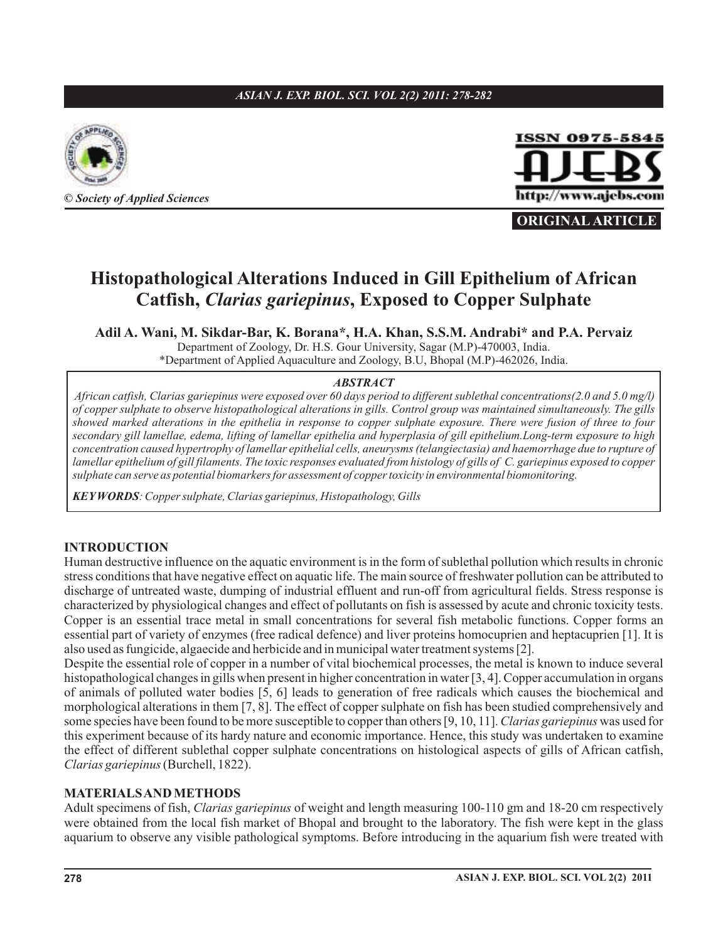### *ASIAN J. EXP. BIOL. SCI. VOL 2(2) 2011: 278-282*





**ORIGINAL ARTICLE**

# **Histopathological Alterations Induced in Gill Epithelium of African Catfish,** *Clarias gariepinus*, **Exposed to Copper Sulphate**

**Adil A. Wani, M. Sikdar-Bar, K. Borana\*, H.A. Khan, S.S.M. Andrabi\* and P.A. Pervaiz** Department of Zoology, Dr. H.S. Gour University, Sagar (M.P)-470003, India.

\*Department of Applied Aquaculture and Zoology, B.U, Bhopal (M.P)-462026, India.

#### *ABSTRACT*

*African catfish, Clarias gariepinus were exposed over 60 days period to different sublethal concentrations(2.0 and 5.0 mg/l) of copper sulphate to observe histopathological alterations in gills. Control group was maintained simultaneously. The gills showed marked alterations in the epithelia in response to copper sulphate exposure. There were fusion of three to four secondary gill lamellae, edema, lifting of lamellar epithelia and hyperplasia of gill epithelium.Long-term exposure to high concentration caused hypertrophy of lamellar epithelial cells, aneurysms (telangiectasia) and haemorrhage due to rupture of lamellar epithelium of gill filaments. The toxic responses evaluated from histology of gills of C. gariepinus exposed to copper sulphate can serve as potential biomarkers for assessment of copper toxicity in environmental biomonitoring.*

*KEYWORDS : Copper sulphate, Clarias gariepinus, Histopathology, Gills*

### **INTRODUCTION**

Human destructive influence on the aquatic environment is in the form of sublethal pollution which results in chronic stress conditions that have negative effect on aquatic life. The main source of freshwater pollution can be attributed to discharge of untreated waste, dumping of industrial effluent and run-off from agricultural fields. Stress response is characterized by physiological changes and effect of pollutants on fish is assessed by acute and chronic toxicity tests. Copper is an essential trace metal in small concentrations for several fish metabolic functions. Copper forms an essential part of variety of enzymes (free radical defence) and liver proteins homocuprien and heptacuprien [1]. It is also used as fungicide, algaecide and herbicide and in municipal water treatment systems [2].

Despite the essential role of copper in a number of vital biochemical processes, the metal is known to induce several histopathological changes in gills when present in higher concentration in water [3, 4]. Copper accumulation in organs of animals of polluted water bodies [5, 6] leads to generation of free radicals which causes the biochemical and morphological alterations in them [7, 8]. The effect of copper sulphate on fish has been studied comprehensively and some species have been found to be more susceptible to copper than others [9, 10, 11]. Clarias gariepinus was used for this experiment because of its hardy nature and economic importance. Hence, this study was undertaken to examine the effect of different sublethal copper sulphate concentrations on histological aspects of gills of African catfish, (Burchell, 1822). *Clarias gariepinus*

#### **MATERIALSANDMETHODS**

Adult specimens of fish, Clarias gariepinus of weight and length measuring 100-110 gm and 18-20 cm respectively were obtained from the local fish market of Bhopal and brought to the laboratory. The fish were kept in the glass aquarium to observe any visible pathological symptoms. Before introducing in the aquarium fish were treated with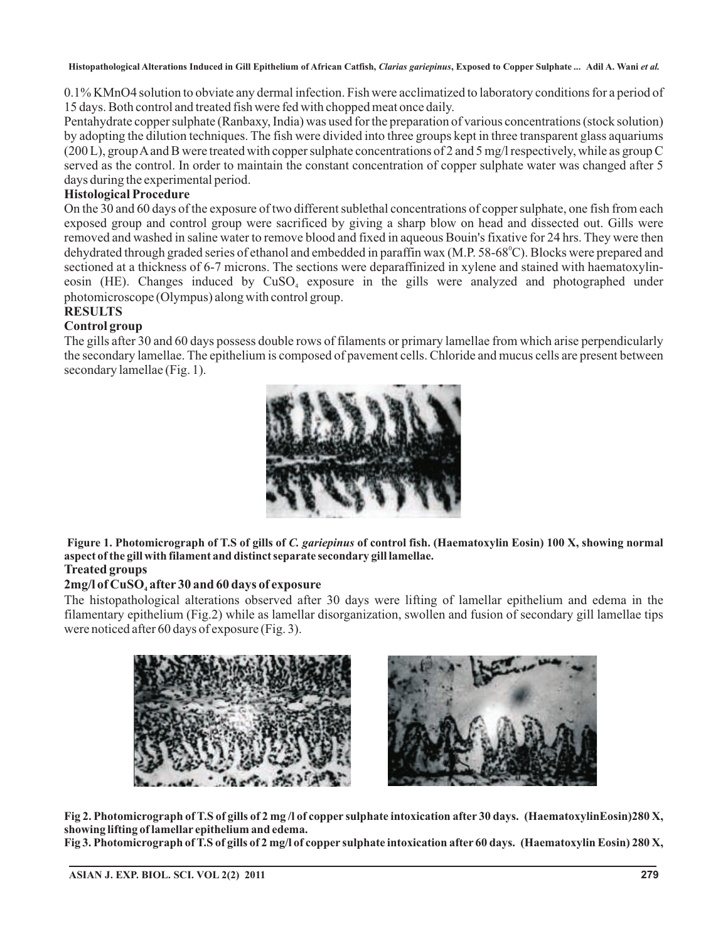0.1% KMnO4 solution to obviate any dermal infection. Fish were acclimatized to laboratory conditions for a period of 15 days. Both control and treated fish were fed with chopped meat once daily.

Pentahydrate copper sulphate (Ranbaxy, India) was used for the preparation of various concentrations (stock solution) by adopting the dilution techniques. The fish were divided into three groups kept in three transparent glass aquariums (200 L), groupAand B were treated with copper sulphate concentrations of 2 and 5 mg/l respectively, while as group C served as the control. In order to maintain the constant concentration of copper sulphate water was changed after 5 days during the experimental period.

### **Histological Procedure**

On the 30 and 60 days of the exposure of two different sublethal concentrations of copper sulphate, one fish from each exposed group and control group were sacrificed by giving a sharp blow on head and dissected out. Gills were removed and washed in saline water to remove blood and fixed in aqueous Bouin's fixative for 24 hrs. They were then dehydrated through graded series of ethanol and embedded in paraffin wax (M.P. 58-68 $^{\circ}$ C). Blocks were prepared and sectioned at a thickness of 6-7 microns. The sections were deparaffinized in xylene and stained with haematoxylineosin (HE). Changes induced by CuSO<sub>4</sub> exposure in the gills were analyzed and photographed under photomicroscope (Olympus) along with control group.

### **RESULTS**

### **Control group**

The gills after 30 and 60 days possess double rows of filaments or primary lamellae from which arise perpendicularly the secondary lamellae. The epithelium is composed of pavement cells. Chloride and mucus cells are present between secondary lamellae (Fig. 1).



**Treated groups** Figure 1. Photomicrograph of T.S of gills of *C. gariepinus* of control fish. (Haematoxylin Eosin) 100 X, showing normal **aspect of the gill with filament and distinct separate secondary gill lamellae.**

## **2mg/l of CuSO after 30 and 60 days of exposure 4**

The histopathological alterations observed after 30 days were lifting of lamellar epithelium and edema in the filamentary epithelium (Fig.2) while as lamellar disorganization, swollen and fusion of secondary gill lamellae tips were noticed after 60 days of exposure (Fig. 3).



**Fig 2. Photomicrograph of T.S of gills of 2 mg /l of copper sulphate intoxication after 30 days. (HaematoxylinEosin)280 X, showing lifting of lamellar epithelium and edema.**

**Fig 3. Photomicrograph of T.S of gills of 2 mg/l of copper sulphate intoxication after 60 days. (Haematoxylin Eosin) 280 X,**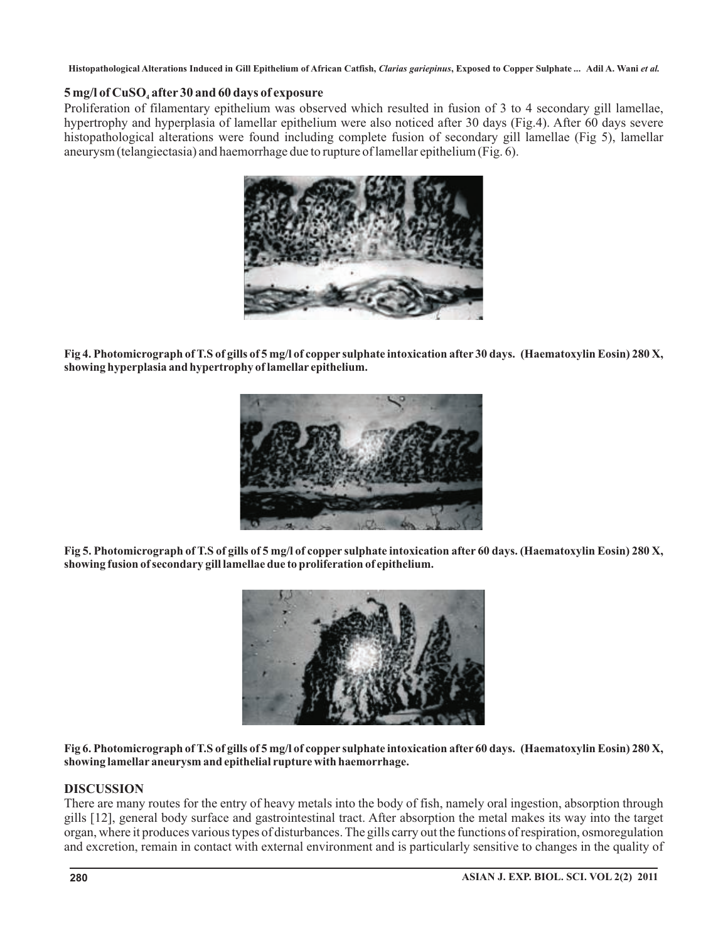### **5 mg/l of CuSO after 30 and 60 days of exposure 4**

Proliferation of filamentary epithelium was observed which resulted in fusion of 3 to 4 secondary gill lamellae, hypertrophy and hyperplasia of lamellar epithelium were also noticed after 30 days (Fig.4). After 60 days severe histopathological alterations were found including complete fusion of secondary gill lamellae (Fig 5), lamellar aneurysm (telangiectasia) and haemorrhage due to rupture of lamellar epithelium (Fig. 6).



**Fig 4. Photomicrograph of T.S of gills of 5 mg/l of copper sulphate intoxication after 30 days. (Haematoxylin Eosin) 280 X, showing hyperplasia and hypertrophy of lamellar epithelium.**



**Fig 5. Photomicrograph of T.S of gills of 5 mg/l of copper sulphate intoxication after 60 days. (Haematoxylin Eosin) 280 X, showing fusion of secondary gill lamellae due to proliferation of epithelium.**



**Fig 6. Photomicrograph of T.S of gills of 5 mg/l of copper sulphate intoxication after 60 days. (Haematoxylin Eosin) 280 X, showing lamellar aneurysm and epithelial rupture with haemorrhage.**

#### **DISCUSSION**

There are many routes for the entry of heavy metals into the body of fish, namely oral ingestion, absorption through gills [12], general body surface and gastrointestinal tract. After absorption the metal makes its way into the target organ, where it produces various types of disturbances. The gills carry out the functions of respiration, osmoregulation and excretion, remain in contact with external environment and is particularly sensitive to changes in the quality of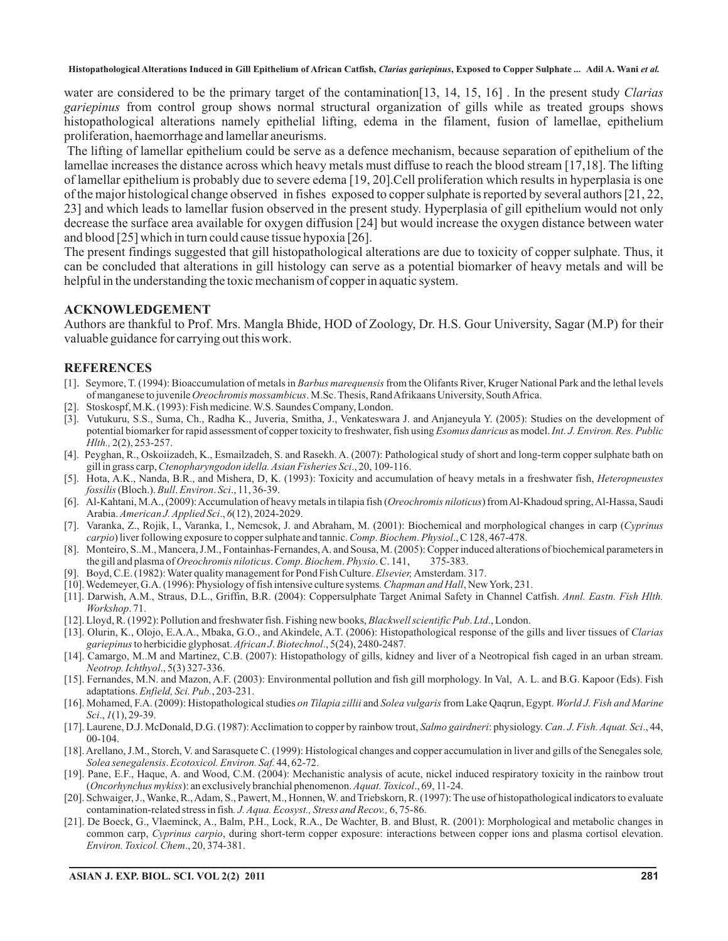water are considered to be the primary target of the contamination[13, 14, 15, 16] . In the present study *Clarias* gariepinus from control group shows normal structural organization of gills while as treated groups shows histopathological alterations namely epithelial lifting, edema in the filament, fusion of lamellae, epithelium proliferation, haemorrhage and lamellar aneurisms.

The lifting of lamellar epithelium could be serve as a defence mechanism, because separation of epithelium of the lamellae increases the distance across which heavy metals must diffuse to reach the blood stream [17,18]. The lifting of lamellar epithelium is probably due to severe edema [19, 20].Cell proliferation which results in hyperplasia is one of the major histological change observed in fishes exposed to copper sulphate is reported by several authors [21, 22, 23] and which leads to lamellar fusion observed in the present study. Hyperplasia of gill epithelium would not only decrease the surface area available for oxygen diffusion [24] but would increase the oxygen distance between water and blood [25] which in turn could cause tissue hypoxia [26].

The present findings suggested that gill histopathological alterations are due to toxicity of copper sulphate. Thus, it can be concluded that alterations in gill histology can serve as a potential biomarker of heavy metals and will be helpful in the understanding the toxic mechanism of copper in aquatic system.

#### **ACKNOWLEDGEMENT**

Authors are thankful to Prof. Mrs. Mangla Bhide, HOD of Zoology, Dr. H.S. Gour University, Sagar (M.P) for their valuable guidance for carrying out this work.

#### **REFERENCES**

- [1]. Seymore, T. (1994): Bioaccumulation of metals in Barbus marequensis from the Olifants River, Kruger National Park and the lethal levels of manganese to juvenile Oreochromis mossambicus. M.Sc. Thesis, Rand Afrikaans University, South Africa.
- Stoskospf, M.K. (1993): Fish medicine. W.S. Saundes Company, London.
- [3]. Vutukuru, S.S., Suma, Ch., Radha K., Juveria, Smitha, J., Venkateswara J. and Anjaneyula Y. (2005): Studies on the development of potential biomarker for rapid assessment of copper toxicity to freshwater, fish using Esomus danricus as model. Int. J. Environ. Res. Public 2(2), 253-257. *Hlth.,*
- [4]. Peyghan, R., Oskoiizadeh, K., Esmailzadeh, S. and Rasekh. A. (2007): Pathological study of short and long-term copper sulphate bath on gill in grass carp, Ctenopharyngodon idella. Asian Fisheries Sci., 20, 109-116.
- [5]. Hota, A.K., Nanda, B.R., and Mishera, D, K. (1993): Toxicity and accumulation of heavy metals in a freshwater fish, *Heteropneustes* fossilis (Bloch.). Bull. Environ. Sci., 11, 36-39.
- [6]. Al-Kahtani, M.A., (2009): Accumulation of heavy metals in tilapia fish (*Oreochromis niloticus*) from Al-Khadoud spring, Al-Hassa, Saudi Arabia. American J. Applied Sci., 6(12), 2024-2029.
- [7]. Varanka, Z., Rojik, I., Varanka, I., Nemcsok, J. and Abraham, M. (2001): Biochemical and morphological changes in carp ( *Cyprinus carpio*) liver following exposure to copper sulphate and tannic. Comp. Biochem. Physiol., C 128, 467-478.
- [8]. Monteiro, S..M., Mancera, J.M., Fontainhas-Fernandes,A. and Sousa, M. (2005): Copper induced alterations of biochemical parameters in the gill and plasma of *Oreochromis niloticus. Comp. Biochem. Physio.* C. 141, 375-383.
- [9]. Boyd, C.E. (1982): Water quality management for Pond Fish Culture. *Elsevier*, Amsterdam. 317.
- [10]. Wedemeyer, G.A. (1996): Physiology of fish intensive culture systems. Chapman and Hall, New York, 231.
- [11]. Darwish, A.M., Straus, D.L., Griffin, B.R. (2004): Coppersulphate Target Animal Safety in Channel Catfish. *Annl. Eastn. Fish Hlth.* Workshop. 71.
- [12]. Lloyd, R. (1992): Pollution and freshwater fish. Fishing new books, *Blackwell scientific Pub. Ltd.*, London.
- [13]. Olurin, K., Olojo, E.A.A., Mbaka, G.O., and Akindele, A.T. (2006): Histopathological response of the gills and liver tissues of *Clarias* gariepinus to herbicidie glyphosat. African J. Biotechnol., 5(24), 2480-2487.
- [14]. Camargo, M..M and Martinez, C.B. (2007): Histopathology of gills, kidney and liver of a Neotropical fish caged in an urban stream. ., 5(3) 327-336. *Neotrop. Ichthyol*
- [15]. Fernandes, M.N. and Mazon, A.F. (2003): Environmental pollution and fish gill morphology. In Val, A. L. and B.G. Kapoor (Eds). Fish adaptations. *Enfield, Sci. Pub.*, 203-231.
- [16]. Mohamed, F.A. (2009): Histopathological studies *on Tilapia zillii* and Solea vulgaris from Lake Qaqrun, Egypt. World J. Fish and Marine Sci., 1(1), 29-39.
- [17]. Laurene, D.J. McDonald, D.G. (1987): Acclimation to copper by rainbow trout, Salmo gairdneri: physiology. Can. J. Fish. Aquat. Sci., 44, 00-104.
- [18].Arellano, J.M., Storch, V. and Sarasquete C. (1999): Histological changes and copper accumulation in liver and gills of the Senegales sole *,* . 44, 62-72. *Solea senegalensis Ecotoxicol. Environ. Saf.*
- [19]. Pane, E.F., Haque, A. and Wood, C.M. (2004): Mechanistic analysis of acute, nickel induced respiratory toxicity in the rainbow trout (*Oncorhynchus mykiss*): an exclusively branchial phenomenon. Aquat. Toxicol., 69, 11-24.
- [20]. Schwaiger, J., Wanke, R.,Adam, S., Pawert, M., Honnen, W. and Triebskorn, R. (1997): The use of histopathological indicators to evaluate contamination-related stress in fish. J. Aqua. Ecosyst., Stress and Recov., 6, 75-86.
- [21]. De Boeck, G., Vlaeminck, A., Balm, P.H., Lock, R.A., De Wachter, B. and Blust, R. (2001): Morphological and metabolic changes in common carp, Cyprinus carpio, during short-term copper exposure: interactions between copper ions and plasma cortisol elevation. ., 20, 374-381. *Environ. Toxicol. Chem*